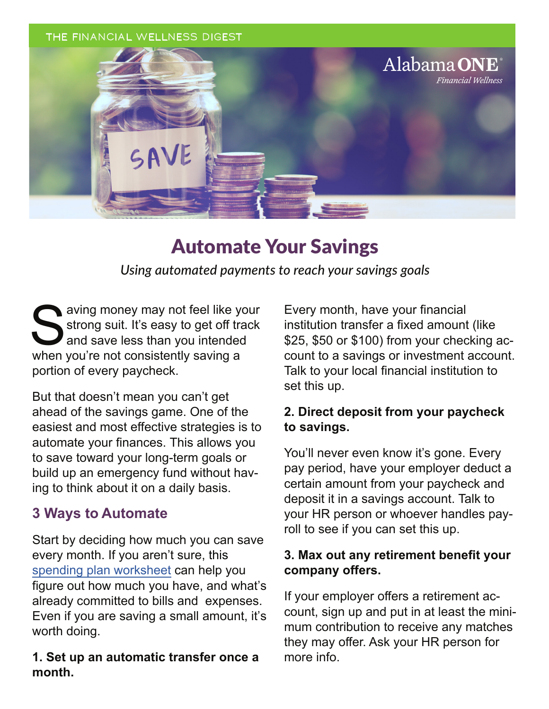#### **THE FINANCIAL WELLNESS DIGEST**



## Automate Your Savings

*Using automated payments to reach your savings goals*

Saving money may not feel like your<br>Sarong suit. It's easy to get off track<br>and save less than you intended<br>when you're not consistently saving a strong suit. It's easy to get off track and save less than you intended when you're not consistently saving a portion of every paycheck.

But that doesn't mean you can't get ahead of the savings game. One of the easiest and most effective strategies is to automate your finances. This allows you to save toward your long-term goals or build up an emergency fund without having to think about it on a daily basis.

### **3 Ways to Automate**

Start by deciding how much you can save every month. If you aren't sure, this [spending plan worksheet](https://www.greenpath.com/resources-spending-plan-worksheet/?utm_source=partner&utm_medium=article&utm_campaign=financial-wellness-digest) can help you figure out how much you have, and what's already committed to bills and expenses. Even if you are saving a small amount, it's worth doing.

**1. Set up an automatic transfer once a month.**

Every month, have your financial institution transfer a fixed amount (like \$25, \$50 or \$100) from your checking account to a savings or investment account. Talk to your local financial institution to set this up.

#### **2. Direct deposit from your paycheck to savings.**

You'll never even know it's gone. Every pay period, have your employer deduct a certain amount from your paycheck and deposit it in a savings account. Talk to your HR person or whoever handles payroll to see if you can set this up.

#### **3. Max out any retirement benefit your company offers.**

If your employer offers a retirement account, sign up and put in at least the minimum contribution to receive any matches they may offer. Ask your HR person for more info.